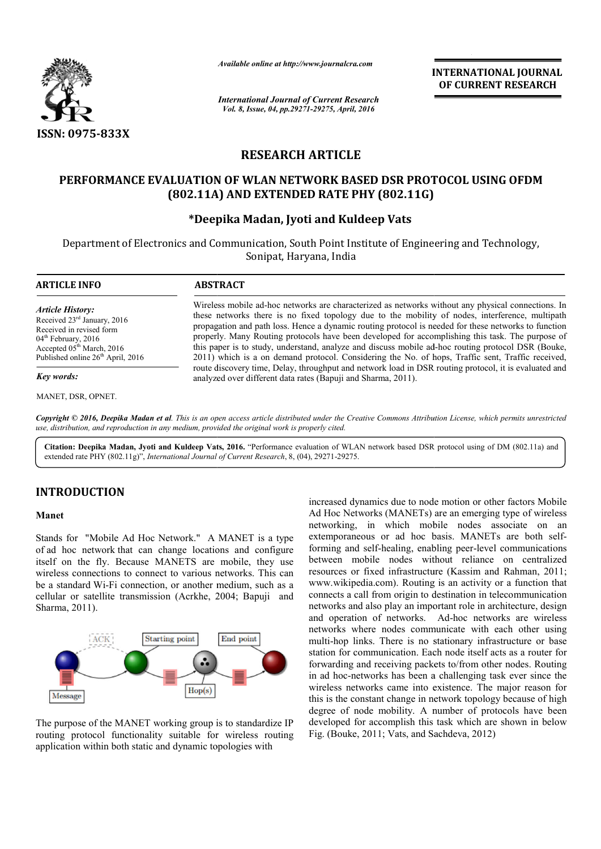

*Available online at http://www.journalcra.com*

*International Journal of Current Research Vol. 8, Issue, 04, pp.29271-29275, April, 2016*

**INTERNATIONAL JOURNAL OF CURRENT RESEARCH** 

# **RESEARCH ARTICLE**

## **PERFORMANCE EVALUATION OF WLAN NETWORK BASED DSR PROTOCOL USING OFDM (802.11A) AND EXTENDED RATE PHY (802.11G)**

## **\*Deepika Madan, Jyoti and Kuldeep Vats**

Department of Electronics and Communication, South Point Institute of Engineering and Technology, Sonipat, Haryana, India

| <b>ARTICLE INFO</b>                                                                                                                                                                                      | <b>ABSTRACT</b>                                                                                                                                                                                                                                                                                                                                                                                                                                                                                                                                                                                                              |  |
|----------------------------------------------------------------------------------------------------------------------------------------------------------------------------------------------------------|------------------------------------------------------------------------------------------------------------------------------------------------------------------------------------------------------------------------------------------------------------------------------------------------------------------------------------------------------------------------------------------------------------------------------------------------------------------------------------------------------------------------------------------------------------------------------------------------------------------------------|--|
| <b>Article History:</b><br>Received 23 <sup>rd</sup> January, 2016<br>Received in revised form<br>$04th$ February, 2016<br>Accepted $05th March$ , 2016<br>Published online 26 <sup>th</sup> April, 2016 | Wireless mobile ad-hoc networks are characterized as networks without any physical connections. In<br>these networks there is no fixed topology due to the mobility of nodes, interference, multipath<br>propagation and path loss. Hence a dynamic routing protocol is needed for these networks to function<br>properly. Many Routing protocols have been developed for accomplishing this task. The purpose of<br>this paper is to study, understand, analyze and discuss mobile ad-hoc routing protocol DSR (Bouke,<br>2011) which is a on demand protocol. Considering the No. of hops, Traffic sent, Traffic received, |  |
| Key words:                                                                                                                                                                                               | route discovery time, Delay, throughput and network load in DSR routing protocol, it is evaluated and<br>analyzed over different data rates (Bapuji and Sharma, 2011).                                                                                                                                                                                                                                                                                                                                                                                                                                                       |  |

*Copyright © 2016, Deepika Madan et al. This is an open access article distributed under the Creative Commons Att Attribution License, which ribution which permits unrestricted use, distribution, and reproduction in any medium, provided the original work is properly cited.*

Citation: Deepika Madan, Jyoti and Kuldeep Vats, 2016. "Performance evaluation of WLAN network based DSR protocol using of DM (802.11a) and extended rate PHY (802.11g)", *International Journal of Current Research*, 8, (04), 29271-29275.

## **INTRODUCTION**

#### **Manet**

Stands for "Mobile Ad Hoc Network." A MANET is a type of ad hoc network that can change locations and configure itself on the fly. Because MANETS are mobile, they use wireless connections to connect to various networks. This can be a standard Wi-Fi connection, or another medium, such as a be a standard Wi-Fi connection, or another medium, such as a cellular or satellite transmission (Acrkhe, 2004; Bapuji and Sharma, 2011).



The purpose of the MANET working group is to standardize IP routing protocol functionality suitable for wireless routing application within both static and dynamic topologies with

increased dynamics due to node motion or other factors Mobile Ad Hoc Networks (MANETs) are an emerging type of wireless networking, in which mobile nodes associate on an extemporaneous or ad hoc basis. MANETs are both self forming and self-healing, enabling peer-level communications between mobile nodes without reliance on centralized between mobile nodes without reliance on centralized resources or fixed infrastructure (Kassim and Rahman, 2011; www.wikipedia.com). Routing is an activity or a function that connects a call from origin to destination in telecommunication networks and also play an important role in architecture, design and operation of networks. Ad-hoc networks are wireless networks where nodes communicate with each other using multi-hop links. There is no stationary infrastructure or base station for communication. Each node itself acts as a router for forwarding and receiving packets to/from other nodes. Routing in ad hoc-networks has been a challenging task ever since the wireless networks came into existence. The major reason for this is the constant change in network topology because of high degree of node mobility. A number of protocols have been developed for accomplish this task which are shown in below this is the constant change in network topolog<br>degree of node mobility. A number of pro<br>developed for accomplish this task which are<br>Fig. (Bouke, 2011; Vats, and Sachdeva, 2012) d dynamics due to node motion or other factors Mobile<br>Networks (MANETs) are an emerging type of wireless<br>ing, in which mobile nodes associate on an<br>raneous or ad hoc basis. MANETs are both selfl from origin to destination in telecommunication<br>also play an important role in architecture, design<br>1 of networks. Ad-hoc networks are wireless where nodes communicate with each other using<br>links. There is no stationary infrastructure or base<br>communication. Each node itself acts as a router for<br>g and receiving packets to/from other nodes. Routing<br>networks has been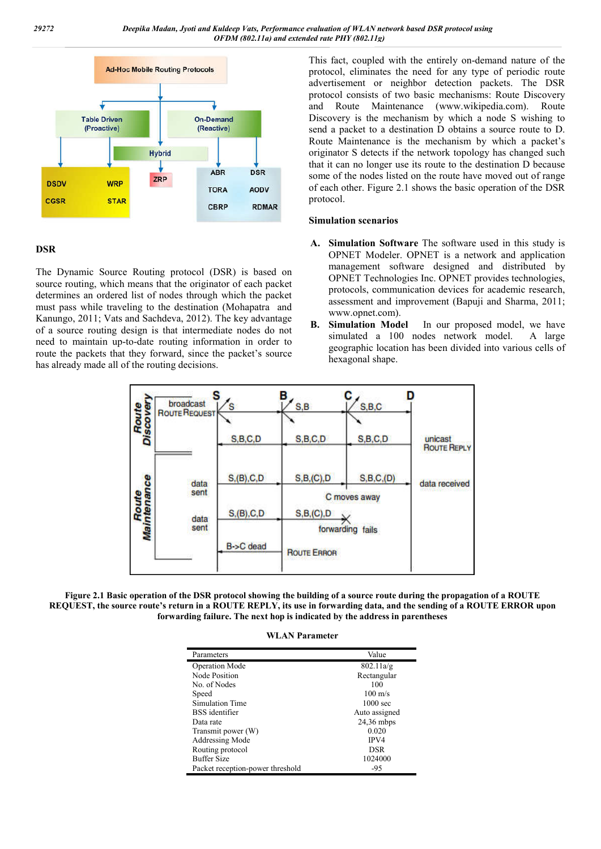

### **DSR**

The Dynamic Source Routing protocol (DSR) is based on source routing, which means that the originator of each packet determines an ordered list of nodes through which the packet must pass while traveling to the destination (Mohapatra and Kanungo, 2011; Vats and Sachdeva, 2012). The key advantage of a source routing design is that intermediate nodes do not need to maintain up-to-date routing information in order to route the packets that they forward, since the packet's source has already made all of the routing decisions.

This fact, coupled with the entirely on-demand nature of the protocol, eliminates the need for any type of periodic route advertisement or neighbor detection packets. The DSR protocol consists of two basic mechanisms: Route Discovery and Route Maintenance (www.wikipedia.com). Route Discovery is the mechanism by which a node S wishing to send a packet to a destination D obtains a source route to D. Route Maintenance is the mechanism by which a packet's originator S detects if the network topology has changed such that it can no longer use its route to the destination D because some of the nodes listed on the route have moved out of range of each other. Figure 2.1 shows the basic operation of the DSR protocol.

#### **Simulation scenarios**

- **A. Simulation Software** The software used in this study is OPNET Modeler. OPNET is a network and application management software designed and distributed by OPNET Technologies Inc. OPNET provides technologies, protocols, communication devices for academic research, assessment and improvement (Bapuji and Sharma, 2011; www.opnet.com).
- **B. Simulation Model** In our proposed model, we have simulated a 100 nodes network model. A large geographic location has been divided into various cells of hexagonal shape.



**Figure 2.1 Basic operation of the DSR protocol showing the building of a source route during the propagation of a ROUTE REQUEST, the source route's return in a ROUTE REPLY, its use in forwarding data, and the sending of a ROUTE ERROR upon forwarding failure. The next hop is indicated by the address in parentheses**

**WLAN Parameter**

| Parameters                       | Value              |
|----------------------------------|--------------------|
| <b>Operation Mode</b>            | 802.11a/g          |
| Node Position                    | Rectangular        |
| No. of Nodes                     | 100                |
| Speed                            | $100 \text{ m/s}$  |
| Simulation Time                  | $1000 \text{ sec}$ |
| BSS identifier                   | Auto assigned      |
| Data rate                        | $24,36$ mbps       |
| Transmit power (W)               | 0.020              |
| Addressing Mode                  | IPV4               |
| Routing protocol                 | <b>DSR</b>         |
| <b>Buffer Size</b>               | 1024000            |
| Packet reception-power threshold | -95                |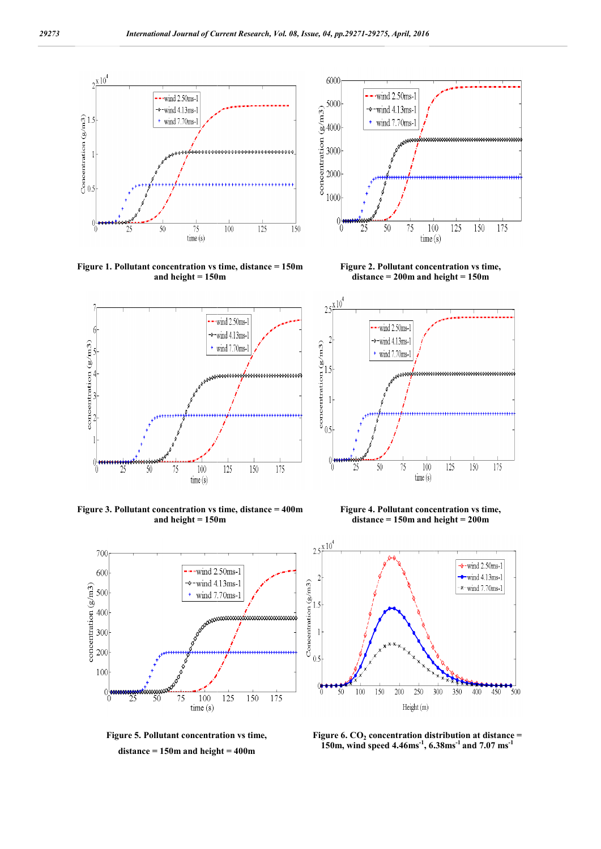

**Figure 1. Pollutant concentration vs time, distance = 150m and height = 150m**



**Figure 3. Pollutant concentration vs time, distance = 400m and height = 150m**



**Figure 5. Pollutant concentration vs time, distance = 150m and height = 400m**



**Figure 2. Pollutant concentration vs time, distance = 200m and height = 150m**



**Figure 4. Pollutant concentration vs time, distance = 150m and height = 200m**



**Figure 6. CO<sub>2</sub> concentration distribution at distance**  $=$ **150m, wind speed 4.46ms-1 , 6.38ms**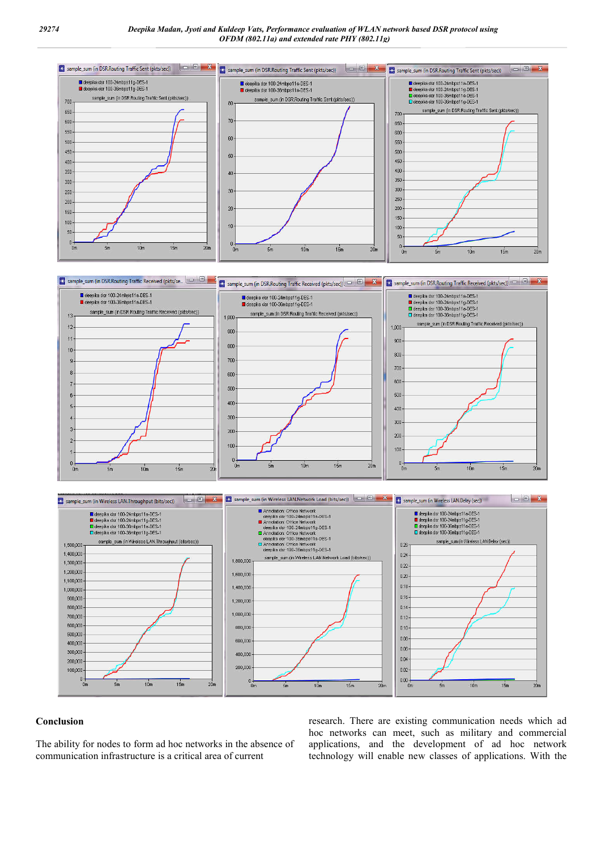

#### **Conclusion**

The ability for nodes to form ad hoc networks in the absence of communication infrastructure is a critical area of current

research. There are existing communication needs which ad hoc networks can meet, such as military and commercial applications, and the development of ad hoc network technology will enable new classes of applications. With the